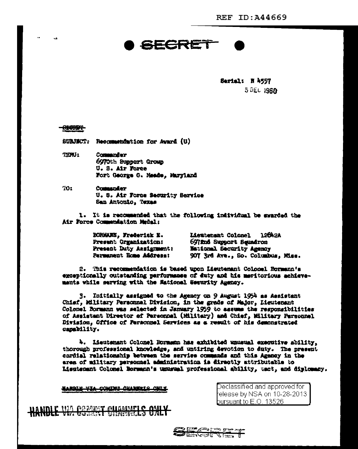# SECRET

Serial: N 4557 5 DEL 1960

# **COOSTOR**

SURJECT: Recommendation for Award (U)

**TRRU1** Commander 6970th Support Group U. S. Air Force Fort George G. Meade, Maryland

TO: Commander U. S. Air Force Security Service San Antonio, Texas

1. It is recommended that the following individual be swarded the Air Force Commendation Medal:

| BORMANN, Frederick E.    | Lieutenant Colonel 12842A         |  |  |  |  |
|--------------------------|-----------------------------------|--|--|--|--|
| Present Organization:    | 6972nd Support Squadron           |  |  |  |  |
| Present Duty Assignment: | National Security Agency          |  |  |  |  |
| Permanent Home Address:  | 907 3rd Ave., So. Columbus, Miss. |  |  |  |  |

2. This recommendation is based upon Lieutenant Colonel Rormann's exceptionally outstanding performance of duty and his meritorious schievements while serving with the National Security Agency.

3. Initially assigned to the Agency on 9 August 1954 as Assistant Chief, Military Personnel Division, in the grade of Major, Lieutenant Colonel Bormann was selected in January 1959 to assume the responsibilities of Assistant Director of Personnel (Military) and Chief. Military Personnel Division, Office of Personnel Services as a result of his demonstrated capability.

4. Lieutenant Colomel Bormsson has exhibited unusual executive ability. thorough professional knowledge, and untiring devotion to duty. The present cordial relationship between the service commands and this Agency in the area of military personnel administration is directly attributable to Lieutenant Colomel Bormann's unusual professional ability, tact, and diplomacy.

HARBLE VIA COMINE CHANNELS ONLY

Declassified and approved for I ∤elease by NSA on 10-28-2013 | bursuant to E.O. 13526  $^{\circ}$ 

<u>UANDLE VIA COMINT CHANNELS UNLT</u>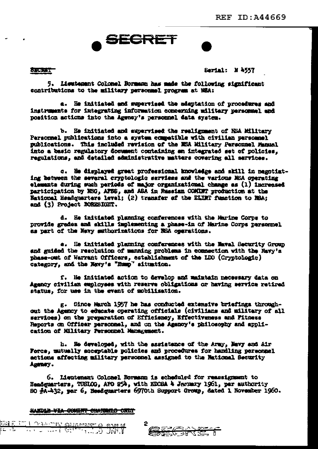SECRET

## SECRET-

Serial: N 4557

5. Lieutenant Colonel Bormann has made the following significant contributions to the military personnel progress at MRA:

a. He initiated and mupervised the adaptation of procedures and instruments for integrating information concerning military personnel and position actions into the Agency's personnel data system.

b. He initiated and supervised the realignment of NSA Military Personnel publications into a system compatible with civilian personnel publications. This included revision of the ESA Military Personnel Manual into a basic regulatory document containing an integrated set of policies. regulations, and detailed administrative matters covering all services.

c. He displayed great professional knowledge and skill in negotiating between the several cryptologic services and the various MSA operating elements during such periods of major organizational change as (1) increased participation by NSG, AFSS, and ASA in Russian COMINT production at the National Headquarters level; (2) transfer of the ELIRT function to NBA; and (3) Project BORESIGHT.

d. He initiated planning conferences with the Marine Corps to provide grades and skills implementing a phase-in of Marine Corps personnel as part of the Navy mathorizations for NRA operations.

e. He initiated planning conferences with the Maval Security Group and guided the resolution of manning problems in connection with the Navy's phase-out of Warrant Officers, establishment of the LDO (Cryptologic) category, and the Newy's "Rump" situation.

f. He initiated action to develop and maintain necessary data on Agency civilian employees with reserve obligations or having service retired status. for use in the event of mobilization.

g. Since March 1957 he has conducted extensive briefings throughout the Agency to educate operating officials (civilians and military of all services) on the preparation of Efficiency, Effectiveness and Fitness Reports on Officer personnal, and on the Agency's philosophy and application of Military Personnel Management.

h. He developed, with the assistance of the Army, Nevy and Air Force, mutually acceptable policies and procedures for handling personnel actions affecting military personnel assigned to the National Security Aggrey.

6. Lieutenant Colomel Bormann is scheduled for reassignment to Headquarters, TUSLOG, APO 254, with EDCSA 4 January 1961, per authority 80 #A-432, par 6, Headquarters 6970th Support Group, dated 1 November 1960.

WANNA VIA COMMER CHANGELO CALIF

 $\mathbb{U}^{\mathbb{N}}$  ,  $\mathbb{U}^{\mathbb{N}}$  ,  $\mathbb{U}^{\mathbb{N}}$  ,  $\mathbb{U}^{\mathbb{N}}$ 

<u>nn a cail oerdar chibada Guli a</u>